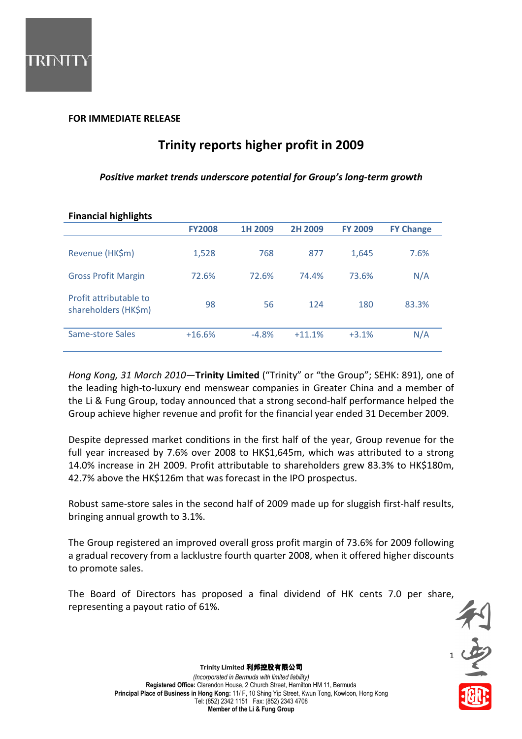

# FOR IMMEDIATE RELEASE

# Trinity reports higher profit in 2009

## Positive market trends underscore potential for Group's long-term growth

| <b>Financial highlights</b>                    |               |         |          |                |                  |
|------------------------------------------------|---------------|---------|----------|----------------|------------------|
|                                                | <b>FY2008</b> | 1H 2009 | 2H 2009  | <b>FY 2009</b> | <b>FY Change</b> |
| Revenue (HK\$m)                                | 1,528         | 768     | 877      | 1,645          | 7.6%             |
| <b>Gross Profit Margin</b>                     | 72.6%         | 72.6%   | 74.4%    | 73.6%          | N/A              |
| Profit attributable to<br>shareholders (HK\$m) | 98            | 56      | 124      | 180            | 83.3%            |
| Same-store Sales                               | $+16.6%$      | $-4.8%$ | $+11.1%$ | $+3.1%$        | N/A              |

# Hong Kong, 31 March 2010-Trinity Limited ("Trinity" or "the Group"; SEHK: 891), one of the leading high-to-luxury end menswear companies in Greater China and a member of the Li & Fung Group, today announced that a strong second-half performance helped the

Despite depressed market conditions in the first half of the year, Group revenue for the full year increased by 7.6% over 2008 to HK\$1,645m, which was attributed to a strong 14.0% increase in 2H 2009. Profit attributable to shareholders grew 83.3% to HK\$180m, 42.7% above the HK\$126m that was forecast in the IPO prospectus.

Group achieve higher revenue and profit for the financial year ended 31 December 2009.

Robust same-store sales in the second half of 2009 made up for sluggish first-half results, bringing annual growth to 3.1%.

The Group registered an improved overall gross profit margin of 73.6% for 2009 following a gradual recovery from a lacklustre fourth quarter 2008, when it offered higher discounts to promote sales.

The Board of Directors has proposed a final dividend of HK cents 7.0 per share, representing a payout ratio of 61%.

利·安全社

Trinity Limited 利邦控股有限公司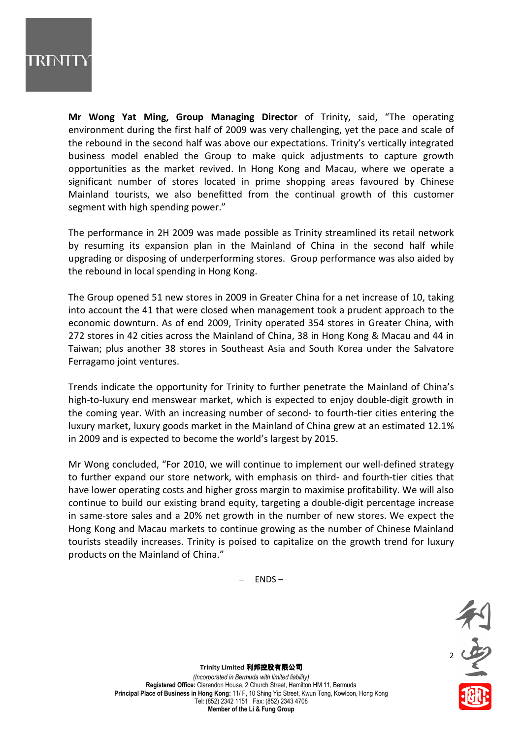

Mr Wong Yat Ming, Group Managing Director of Trinity, said, "The operating environment during the first half of 2009 was very challenging, yet the pace and scale of the rebound in the second half was above our expectations. Trinity's vertically integrated business model enabled the Group to make quick adjustments to capture growth opportunities as the market revived. In Hong Kong and Macau, where we operate a significant number of stores located in prime shopping areas favoured by Chinese Mainland tourists, we also benefitted from the continual growth of this customer segment with high spending power."

The performance in 2H 2009 was made possible as Trinity streamlined its retail network by resuming its expansion plan in the Mainland of China in the second half while upgrading or disposing of underperforming stores. Group performance was also aided by the rebound in local spending in Hong Kong.

The Group opened 51 new stores in 2009 in Greater China for a net increase of 10, taking into account the 41 that were closed when management took a prudent approach to the economic downturn. As of end 2009, Trinity operated 354 stores in Greater China, with 272 stores in 42 cities across the Mainland of China, 38 in Hong Kong & Macau and 44 in Taiwan; plus another 38 stores in Southeast Asia and South Korea under the Salvatore Ferragamo joint ventures.

Trends indicate the opportunity for Trinity to further penetrate the Mainland of China's high-to-luxury end menswear market, which is expected to enjoy double-digit growth in the coming year. With an increasing number of second- to fourth-tier cities entering the luxury market, luxury goods market in the Mainland of China grew at an estimated 12.1% in 2009 and is expected to become the world's largest by 2015.

Mr Wong concluded, "For 2010, we will continue to implement our well-defined strategy to further expand our store network, with emphasis on third- and fourth-tier cities that have lower operating costs and higher gross margin to maximise profitability. We will also continue to build our existing brand equity, targeting a double-digit percentage increase in same-store sales and a 20% net growth in the number of new stores. We expect the Hong Kong and Macau markets to continue growing as the number of Chinese Mainland tourists steadily increases. Trinity is poised to capitalize on the growth trend for luxury products on the Mainland of China."

– ENDS –



Trinity Limited 利邦控股有限公司

(Incorporated in Bermuda with limited liability) Registered Office: Clarendon House, 2 Church Street, Hamilton HM 11, Bermuda Principal Place of Business in Hong Kong: 11/ F, 10 Shing Yip Street, Kwun Tong, Kowloon, Hong Kong Tel: (852) 2342 1151 Fax: (852) 2343 4708 Member of the Li & Fung Group